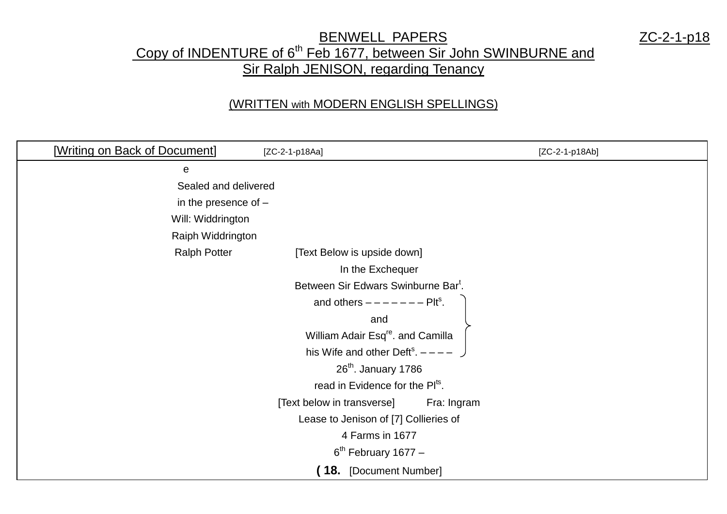## **BENWELL PAPERS** 2C-2-1-p18 Copy of INDENTURE of 6<sup>th</sup> Feb 1677, between Sir John SWINBURNE and **Sir Ralph JENISON, regarding Tenancy**

## (WRITTEN with MODERN ENGLISH SPELLINGS)

| [Writing on Back of Document] | [ZC-2-1-p18Aa]                                  | $[ZC-2-1-p18Ab]$ |
|-------------------------------|-------------------------------------------------|------------------|
| ${\bf e}$                     |                                                 |                  |
| Sealed and delivered          |                                                 |                  |
| in the presence of $-$        |                                                 |                  |
| Will: Widdrington             |                                                 |                  |
| Raiph Widdrington             |                                                 |                  |
| <b>Ralph Potter</b>           | [Text Below is upside down]                     |                  |
|                               | In the Exchequer                                |                  |
|                               | Between Sir Edwars Swinburne Bar <sup>t</sup> . |                  |
|                               | and others $------PIts$ .                       |                  |
|                               | and                                             |                  |
|                               | William Adair Esq <sup>re</sup> . and Camilla   |                  |
|                               | his Wife and other Deft <sup>s</sup> . $---$ )  |                  |
|                               | $26th$ . January 1786                           |                  |
|                               | read in Evidence for the Pl <sup>ts</sup> .     |                  |
|                               | [Text below in transverse]                      | Fra: Ingram      |
|                               | Lease to Jenison of [7] Collieries of           |                  |
|                               | 4 Farms in 1677                                 |                  |
|                               | $6th$ February 1677 –                           |                  |
|                               | (18. [Document Number]                          |                  |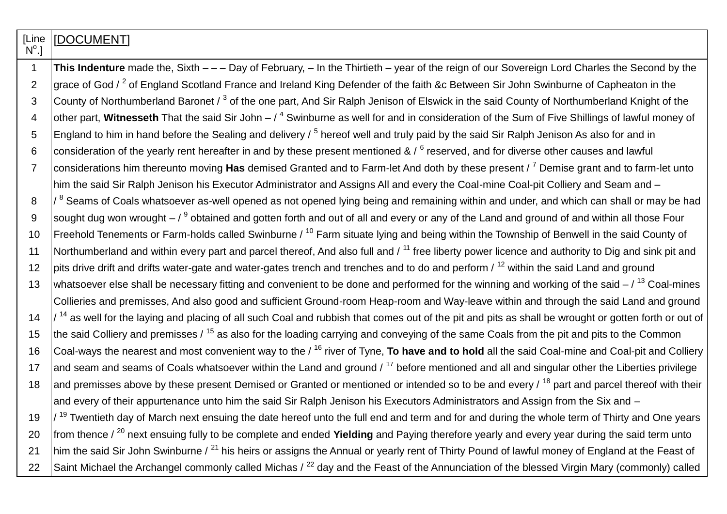| [Line          | [DOCUMENT]                                                                                                                                                         |
|----------------|--------------------------------------------------------------------------------------------------------------------------------------------------------------------|
| $N^{\circ}.$   |                                                                                                                                                                    |
| $\mathbf{1}$   | This Indenture made the, Sixth $-$ - Day of February, - In the Thirtieth - year of the reign of our Sovereign Lord Charles the Second by the                       |
| $\overline{2}$ | grace of God $\ell^2$ of England Scotland France and Ireland King Defender of the faith &c Between Sir John Swinburne of Capheaton in the                          |
| 3              | County of Northumberland Baronet / <sup>3</sup> of the one part, And Sir Ralph Jenison of Elswick in the said County of Northumberland Knight of the               |
| 4              | other part, Witnesseth That the said Sir John $-$ / $^4$ Swinburne as well for and in consideration of the Sum of Five Shillings of lawful money of                |
| 5              | England to him in hand before the Sealing and delivery $\frac{5}{5}$ hereof well and truly paid by the said Sir Ralph Jenison As also for and in                   |
| 6              | consideration of the yearly rent hereafter in and by these present mentioned & $\frac{1}{6}$ reserved, and for diverse other causes and lawful                     |
| $\overline{7}$ | considerations him thereunto moving Has demised Granted and to Farm-let And doth by these present / 7 Demise grant and to farm-let unto                            |
|                | him the said Sir Ralph Jenison his Executor Administrator and Assigns All and every the Coal-mine Coal-pit Colliery and Seam and -                                 |
| 8              | $/$ $^8$ Seams of Coals whatsoever as-well opened as not opened lying being and remaining within and under, and which can shall or may be had                      |
| 9              | sought dug won wrought $-$ / $9$ obtained and gotten forth and out of all and every or any of the Land and ground of and within all those Four                     |
| 10             | Freehold Tenements or Farm-holds called Swinburne / <sup>10</sup> Farm situate lying and being within the Township of Benwell in the said County of                |
| 11             | Northumberland and within every part and parcel thereof, And also full and / <sup>11</sup> free liberty power licence and authority to Dig and sink pit and        |
| 12             | pits drive drift and drifts water-gate and water-gates trench and trenches and to do and perform / <sup>12</sup> within the said Land and ground                   |
| 13             | whatsoever else shall be necessary fitting and convenient to be done and performed for the winning and working of the said $-$ / $^{13}$ Coal-mines                |
|                | Collieries and premisses, And also good and sufficient Ground-room Heap-room and Way-leave within and through the said Land and ground                             |
| 14             | $/$ <sup>14</sup> as well for the laying and placing of all such Coal and rubbish that comes out of the pit and pits as shall be wrought or gotten forth or out of |
| 15             | the said Colliery and premisses / <sup>15</sup> as also for the loading carrying and conveying of the same Coals from the pit and pits to the Common               |
| 16             | Coal-ways the nearest and most convenient way to the / <sup>16</sup> river of Tyne, <b>To have and to hold</b> all the said Coal-mine and Coal-pit and Colliery    |
| 17             | and seam and seams of Coals whatsoever within the Land and ground / <sup>17</sup> before mentioned and all and singular other the Liberties privilege              |
| 18             | and premisses above by these present Demised or Granted or mentioned or intended so to be and every / <sup>18</sup> part and parcel thereof with their             |
|                | and every of their appurtenance unto him the said Sir Ralph Jenison his Executors Administrators and Assign from the Six and -                                     |
| 19             | / <sup>19</sup> Twentieth day of March next ensuing the date hereof unto the full end and term and for and during the whole term of Thirty and One years           |
| 20             | from thence $\ell^{20}$ next ensuing fully to be complete and ended Yielding and Paying therefore yearly and every year during the said term unto                  |
| 21             | him the said Sir John Swinburne / <sup>21</sup> his heirs or assigns the Annual or yearly rent of Thirty Pound of lawful money of England at the Feast of          |
| 22             | Saint Michael the Archangel commonly called Michas / <sup>22</sup> day and the Feast of the Annunciation of the blessed Virgin Mary (commonly) called              |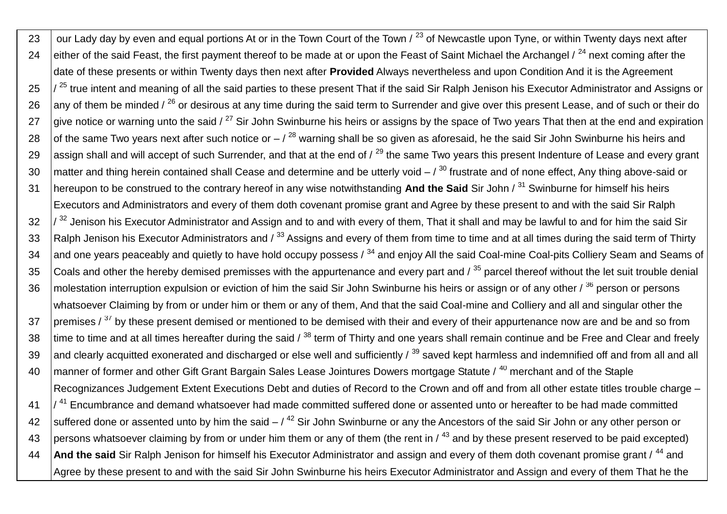23 our Lady day by even and equal portions At or in the Town Court of the Town  $/$  <sup>23</sup> of Newcastle upon Tyne, or within Twenty days next after 24 either of the said Feast, the first payment thereof to be made at or upon the Feast of Saint Michael the Archangel / <sup>24</sup> next coming after the date of these presents or within Twenty days then next after **Provided** Always nevertheless and upon Condition And it is the Agreement  $25$   $\frac{1}{25}$  true intent and meaning of all the said parties to these present That if the said Sir Ralph Jenison his Executor Administrator and Assigns or 26 any of them be minded /  $^{26}$  or desirous at any time during the said term to Surrender and give over this present Lease, and of such or their do 27 give notice or warning unto the said  $\ell^{27}$  Sir John Swinburne his heirs or assigns by the space of Two years That then at the end and expiration 28 of the same Two years next after such notice or  $-7^{28}$  warning shall be so given as aforesaid, he the said Sir John Swinburne his heirs and 29 assign shall and will accept of such Surrender, and that at the end of  $/29$  the same Two years this present Indenture of Lease and every grant 30 matter and thing herein contained shall Cease and determine and be utterly void  $-7^{30}$  frustrate and of none effect. Any thing above-said or 31 hereupon to be construed to the contrary hereof in any wise notwithstanding **And the Said** Sir John / <sup>31</sup> Swinburne for himself his heirs Executors and Administrators and every of them doth covenant promise grant and Agree by these present to and with the said Sir Ralph  $32$   $\frac{1}{32}$  Jenison his Executor Administrator and Assign and to and with every of them, That it shall and may be lawful to and for him the said Sir 33 Ralph Jenison his Executor Administrators and  $\ell^{33}$  Assigns and every of them from time to time and at all times during the said term of Thirty 34 and one years peaceably and quietly to have hold occupy possess  $/34$  and enjoy All the said Coal-mine Coal-pits Colliery Seam and Seams of 35 Coals and other the hereby demised premisses with the appurtenance and every part and  $\beta^{35}$  parcel thereof without the let suit trouble denial 36 | molestation interruption expulsion or eviction of him the said Sir John Swinburne his heirs or assign or of any other / 36 person or persons whatsoever Claiming by from or under him or them or any of them, And that the said Coal-mine and Colliery and all and singular other the  $37$  premises /  $37$  by these present demised or mentioned to be demised with their and every of their appurtenance now are and be and so from 38  $\,$  time to time and at all times hereafter during the said /  $^{38}$  term of Thirty and one years shall remain continue and be Free and Clear and freely 39 and clearly acquitted exonerated and discharged or else well and sufficiently  $\frac{39}{2}$  saved kept harmless and indemnified off and from all and all 40 | manner of former and other Gift Grant Bargain Sales Lease Jointures Dowers mortgage Statute / 40 merchant and of the Staple Recognizances Judgement Extent Executions Debt and duties of Record to the Crown and off and from all other estate titles trouble charge –  $41$   $\frac{1}{4}$  Encumbrance and demand whatsoever had made committed suffered done or assented unto or hereafter to be had made committed 42 Suffered done or assented unto by him the said  $-$  /  $^{42}$  Sir John Swinburne or any the Ancestors of the said Sir John or any other person or 43 persons whatsoever claiming by from or under him them or any of them (the rent in  $\frac{43}{1}$  and by these present reserved to be paid excepted) 44 **And the said** Sir Ralph Jenison for himself his Executor Administrator and assign and every of them doth covenant promise grant / <sup>44</sup> and Agree by these present to and with the said Sir John Swinburne his heirs Executor Administrator and Assign and every of them That he the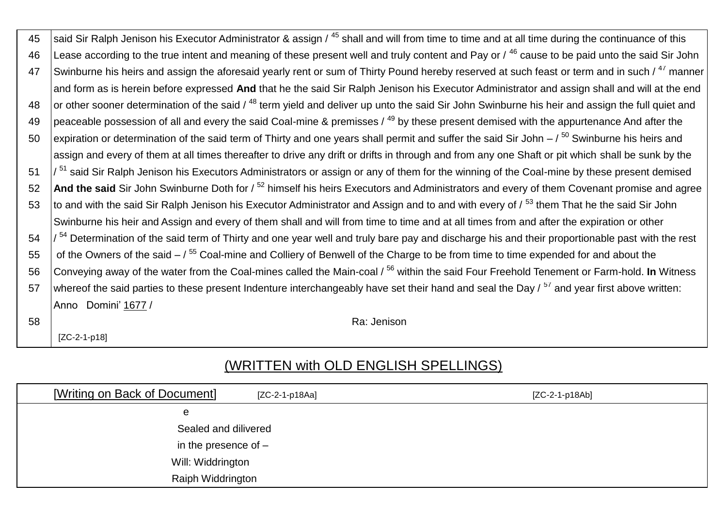| 45 | said Sir Ralph Jenison his Executor Administrator & assign / <sup>45</sup> shall and will from time to time and at all time during the continuance of this  |
|----|-------------------------------------------------------------------------------------------------------------------------------------------------------------|
| 46 | Lease according to the true intent and meaning of these present well and truly content and Pay or / 46 cause to be paid unto the said Sir John              |
| 47 | Swinburne his heirs and assign the aforesaid yearly rent or sum of Thirty Pound hereby reserved at such feast or term and in such / <sup>47</sup> manner    |
|    | and form as is herein before expressed And that he the said Sir Ralph Jenison his Executor Administrator and assign shall and will at the end               |
| 48 | or other sooner determination of the said / <sup>48</sup> term yield and deliver up unto the said Sir John Swinburne his heir and assign the full quiet and |
| 49 | peaceable possession of all and every the said Coal-mine & premisses / <sup>49</sup> by these present demised with the appurtenance And after the           |
| 50 | expiration or determination of the said term of Thirty and one years shall permit and suffer the said Sir John $-$ / $^{50}$ Swinburne his heirs and        |
|    | assign and every of them at all times thereafter to drive any drift or drifts in through and from any one Shaft or pit which shall be sunk by the           |
| 51 | / <sup>51</sup> said Sir Ralph Jenison his Executors Administrators or assign or any of them for the winning of the Coal-mine by these present demised      |
| 52 | And the said Sir John Swinburne Doth for / <sup>52</sup> himself his heirs Executors and Administrators and every of them Covenant promise and agree        |
| 53 | to and with the said Sir Ralph Jenison his Executor Administrator and Assign and to and with every of / <sup>53</sup> them That he the said Sir John        |
|    | Swinburne his heir and Assign and every of them shall and will from time to time and at all times from and after the expiration or other                    |
| 54 | <sup>54</sup> Determination of the said term of Thirty and one year well and truly bare pay and discharge his and their proportionable past with the rest   |
| 55 | of the Owners of the said $-7^{55}$ Coal-mine and Colliery of Benwell of the Charge to be from time to time expended for and about the                      |
| 56 | Conveying away of the water from the Coal-mines called the Main-coal / <sup>56</sup> within the said Four Freehold Tenement or Farm-hold. In Witness        |
| 57 | whereof the said parties to these present Indenture interchangeably have set their hand and seal the Day / <sup>57</sup> and year first above written:      |
|    | Anno Domini' 1677 /                                                                                                                                         |
| 58 | Ra: Jenison                                                                                                                                                 |

[ZC-2-1-p18]

## (WRITTEN with OLD ENGLISH SPELLINGS)

| [Writing on Back of Document] | [ZC-2-1-p18Aa] | [ZC-2-1-p18Ab] |
|-------------------------------|----------------|----------------|
| e                             |                |                |
| Sealed and dilivered          |                |                |
| in the presence of $-$        |                |                |
| Will: Widdrington             |                |                |
| Raiph Widdrington             |                |                |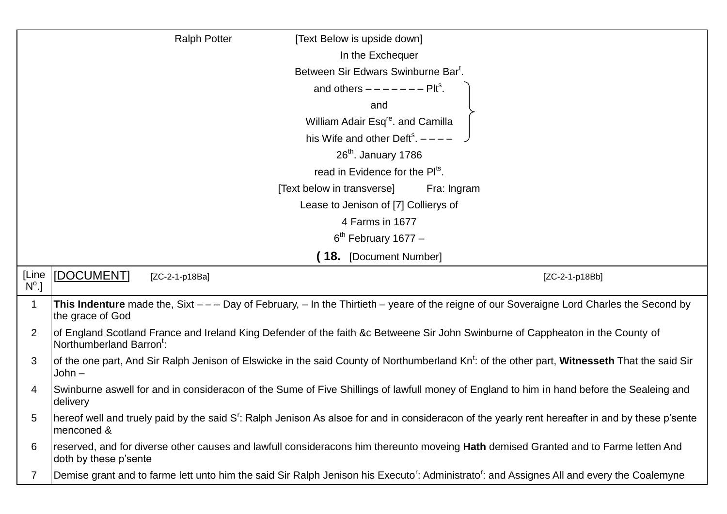|                         | <b>Ralph Potter</b><br>[Text Below is upside down]                                                                                                                         |
|-------------------------|----------------------------------------------------------------------------------------------------------------------------------------------------------------------------|
|                         | In the Exchequer                                                                                                                                                           |
|                         | Between Sir Edwars Swinburne Bar <sup>t</sup> .                                                                                                                            |
|                         | and others $------PIts$ .                                                                                                                                                  |
|                         | and                                                                                                                                                                        |
|                         | William Adair Esq <sup>re</sup> . and Camilla                                                                                                                              |
|                         | his Wife and other Deft <sup>s</sup> . $---$                                                                                                                               |
|                         | $26th$ . January 1786                                                                                                                                                      |
|                         | read in Evidence for the Pl <sup>ts</sup> .                                                                                                                                |
|                         | [Text below in transverse]<br>Fra: Ingram                                                                                                                                  |
|                         | Lease to Jenison of [7] Collierys of                                                                                                                                       |
|                         | 4 Farms in 1677                                                                                                                                                            |
|                         | $6th$ February 1677 –                                                                                                                                                      |
|                         | 18. [Document Number]                                                                                                                                                      |
| [Line<br>$N^{\circ}$ .] | [DOCUMENT]<br>[ZC-2-1-p18Ba]<br>[ZC-2-1-p18Bb]                                                                                                                             |
| 1                       | This Indenture made the, Sixt $-$ - Day of February, $-$ In the Thirtieth $-$ yeare of the reigne of our Soveraigne Lord Charles the Second by<br>the grace of God         |
| $\overline{2}$          | of England Scotland France and Ireland King Defender of the faith &c Betweene Sir John Swinburne of Cappheaton in the County of<br>Northumberland Barron <sup>t</sup> :    |
| 3                       | of the one part, And Sir Ralph Jenison of Elswicke in the said County of Northumberland Kn <sup>t</sup> : of the other part, Witnesseth That the said Sir<br>John –        |
| 4                       | Swinburne aswell for and in consideracon of the Sume of Five Shillings of lawfull money of England to him in hand before the Sealeing and<br>delivery                      |
| 5                       | hereof well and truely paid by the said S <sup>r</sup> : Ralph Jenison As alsoe for and in consideracon of the yearly rent hereafter in and by these p'sente<br>menconed & |
| 6                       | reserved, and for diverse other causes and lawfull consideracons him thereunto moveing Hath demised Granted and to Farme letten And<br>doth by these p'sente               |
|                         | Demise grant and to farme lett unto him the said Sir Ralph Jenison his Executo <sup>r</sup> : Administrato <sup>r</sup> : and Assignes All and every the Coalemyne         |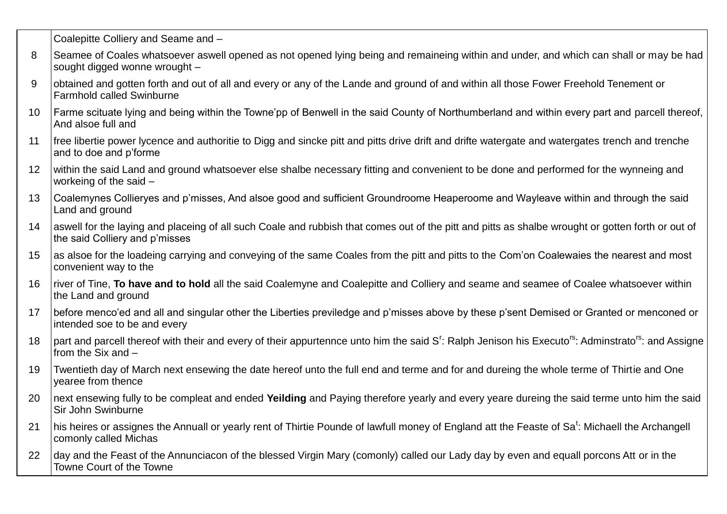Coalepitte Colliery and Seame and –

- 8 Seamee of Coales whatsoever aswell opened as not opened lying being and remaineing within and under, and which can shall or may be had sought digged wonne wrought –
- 9 obtained and gotten forth and out of all and every or any of the Lande and ground of and within all those Fower Freehold Tenement or Farmhold called Swinburne
- 10 Farme scituate lying and being within the Towne'pp of Benwell in the said County of Northumberland and within every part and parcell thereof, And alsoe full and
- 11 Ifree libertie power Ivcence and authoritie to Digg and sincke pitt and pitts drive drift and drifte watergate and watergates trench and trenche and to doe and p'forme
- 12 within the said Land and ground whatsoever else shalbe necessary fitting and convenient to be done and performed for the wynneing and workeing of the said –
- 13 Coalemynes Collieryes and p'misses, And alsoe good and sufficient Groundroome Heaperoome and Wayleave within and through the said Land and ground
- 14 aswell for the laying and placeing of all such Coale and rubbish that comes out of the pitt and pitts as shalbe wrought or gotten forth or out of the said Colliery and p'misses
- 15 as alsoe for the loadeing carrying and conveying of the same Coales from the pitt and pitts to the Com'on Coalewaies the nearest and most convenient way to the
- 16 river of Tine, **To have and to hold** all the said Coalemyne and Coalepitte and Colliery and seame and seamee of Coalee whatsoever within the Land and ground
- 17 before menco'ed and all and singular other the Liberties previledge and p'misses above by these p'sent Demised or Granted or menconed or intended soe to be and every
- 18  $\vert$  part and parcell thereof with their and every of their appurtennce unto him the said S<sup>r</sup>: Ralph Jenison his Executo<sup>rs</sup>: Adminstrato<sup>rs</sup>: and Assigne from the Six and –
- 19 Twentieth day of March next ensewing the date hereof unto the full end and terme and for and dureing the whole terme of Thirtie and One yearee from thence
- 20 next ensewing fully to be compleat and ended **Yeilding** and Paying therefore yearly and every yeare dureing the said terme unto him the said Sir John Swinburne
- 21 | his heires or assignes the Annuall or yearly rent of Thirtie Pounde of lawfull money of England att the Feaste of Sa<sup>t</sup>: Michaell the Archangell comonly called Michas
- 22 day and the Feast of the Annunciacon of the blessed Virgin Mary (comonly) called our Lady day by even and equall porcons Att or in the Towne Court of the Towne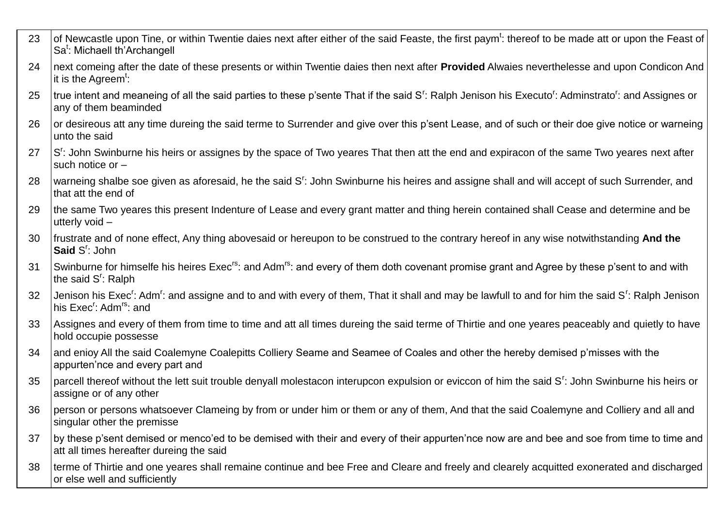| 23 | of Newcastle upon Tine, or within Twentie daies next after either of the said Feaste, the first paym <sup>t</sup> : thereof to be made att or upon the Feast of  <br>Sa <sup>t</sup> : Michaell th'Archangell                            |
|----|------------------------------------------------------------------------------------------------------------------------------------------------------------------------------------------------------------------------------------------|
| 24 | next comeing after the date of these presents or within Twentie daies then next after Provided Alwaies neverthelesse and upon Condicon And<br>it is the Agreem <sup><math>t</math></sup> :                                               |
| 25 | true intent and meaneing of all the said parties to these p'sente That if the said S <sup>r</sup> : Ralph Jenison his Executo <sup>r</sup> : Adminstrato <sup>r</sup> : and Assignes or<br>any of them beaminded                         |
| 26 | or desireous att any time dureing the said terme to Surrender and give over this p'sent Lease, and of such or their doe give notice or warneing<br>unto the said                                                                         |
| 27 | S <sup>r</sup> : John Swinburne his heirs or assignes by the space of Two yeares That then att the end and expiracon of the same Two yeares next after<br>such notice or $-$                                                             |
| 28 | warneing shalbe soe given as aforesaid, he the said S <sup>r</sup> : John Swinburne his heires and assigne shall and will accept of such Surrender, and<br>that att the end of                                                           |
| 29 | the same Two yeares this present Indenture of Lease and every grant matter and thing herein contained shall Cease and determine and be<br>utterly void -                                                                                 |
| 30 | frustrate and of none effect, Any thing abovesaid or hereupon to be construed to the contrary hereof in any wise notwithstanding And the<br>Said S': John                                                                                |
| 31 | Swinburne for himselfe his heires Exec <sup>rs</sup> : and Adm <sup>rs</sup> : and every of them doth covenant promise grant and Agree by these p'sent to and with<br>the said S <sup>r</sup> : Ralph                                    |
| 32 | Jenison his Exec <sup>r</sup> : Adm <sup>r</sup> : and assigne and to and with every of them, That it shall and may be lawfull to and for him the said S <sup>r</sup> : Ralph Jenison<br>his Exec <sup>r</sup> : Adm <sup>rs</sup> : and |
| 33 | Assignes and every of them from time to time and att all times dureing the said terme of Thirtie and one yeares peaceably and quietly to have<br>hold occupie possesse                                                                   |
| 34 | and enioy All the said Coalemyne Coalepitts Colliery Seame and Seamee of Coales and other the hereby demised p'misses with the<br>appurten'nce and every part and                                                                        |
| 35 | parcell thereof without the lett suit trouble denyall molestacon interupcon expulsion or eviccon of him the said S <sup>r</sup> : John Swinburne his heirs or<br>assigne or of any other                                                 |
| 36 | person or persons whatsoever Clameing by from or under him or them or any of them, And that the said Coalemyne and Colliery and all and<br>singular other the premisse                                                                   |
| 37 | by these p'sent demised or menco'ed to be demised with their and every of their appurten'nce now are and bee and soe from time to time and<br>att all times hereafter dureing the said                                                   |
| 38 | terme of Thirtie and one yeares shall remaine continue and bee Free and Cleare and freely and clearely acquitted exonerated and discharged<br>or else well and sufficiently                                                              |
|    |                                                                                                                                                                                                                                          |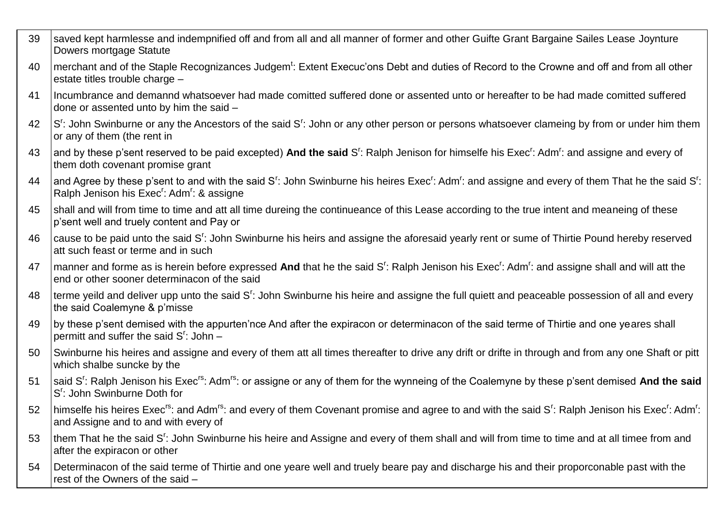| 39 | saved kept harmlesse and indempnified off and from all and all manner of former and other Guifte Grant Bargaine Sailes Lease Joynture<br>Dowers mortgage Statute                                                                                                       |
|----|------------------------------------------------------------------------------------------------------------------------------------------------------------------------------------------------------------------------------------------------------------------------|
| 40 | merchant and of the Staple Recognizances Judgem <sup>t</sup> : Extent Execuc'ons Debt and duties of Record to the Crowne and off and from all other<br>estate titles trouble charge -                                                                                  |
| 41 | Incumbrance and demannd whatsoever had made comitted suffered done or assented unto or hereafter to be had made comitted suffered<br>done or assented unto by him the said -                                                                                           |
| 42 | S <sup>r</sup> : John Swinburne or any the Ancestors of the said S <sup>r</sup> : John or any other person or persons whatsoever clameing by from or under him them<br>or any of them (the rent in                                                                     |
| 43 | and by these p'sent reserved to be paid excepted) And the said S <sup>r</sup> : Ralph Jenison for himselfe his Exec <sup>r</sup> : Adm <sup>r</sup> : and assigne and every of<br>them doth covenant promise grant                                                     |
| 44 | and Agree by these p'sent to and with the said S <sup>r</sup> : John Swinburne his heires Exec <sup>r</sup> : Adm <sup>r</sup> : and assigne and every of them That he the said S <sup>r</sup> :<br>Ralph Jenison his Exec <sup>r</sup> : Adm <sup>r</sup> : & assigne |
| 45 | shall and will from time to time and att all time dureing the continueance of this Lease according to the true intent and meaneing of these<br>p'sent well and truely content and Pay or                                                                               |
| 46 | cause to be paid unto the said S <sup>r</sup> : John Swinburne his heirs and assigne the aforesaid yearly rent or sume of Thirtie Pound hereby reserved<br>att such feast or terme and in such                                                                         |
| 47 | manner and forme as is herein before expressed And that he the said S <sup>r</sup> : Ralph Jenison his Exec <sup>r</sup> : Adm <sup>r</sup> : and assigne shall and will att the<br>end or other sooner determinacon of the said                                       |
| 48 | terme yeild and deliver upp unto the said S <sup>r</sup> : John Swinburne his heire and assigne the full quiett and peaceable possession of all and every<br>the said Coalemyne & p'misse                                                                              |
| 49 | by these p'sent demised with the appurten'nce And after the expiracon or determinacon of the said terme of Thirtie and one yeares shall<br>permitt and suffer the said $S'$ : John $-$                                                                                 |
| 50 | Swinburne his heires and assigne and every of them att all times thereafter to drive any drift or drifte in through and from any one Shaft or pitt<br>which shalbe suncke by the                                                                                       |
| 51 | said S <sup>r</sup> : Ralph Jenison his Exec <sup>rs</sup> : Adm <sup>rs</sup> : or assigne or any of them for the wynneing of the Coalemyne by these p'sent demised And the said<br>S <sup>r</sup> : John Swinburne Doth for                                          |
| 52 | himselfe his heires Exec <sup>rs</sup> : and Adm <sup>rs</sup> : and every of them Covenant promise and agree to and with the said S <sup>r</sup> : Ralph Jenison his Exec <sup>r</sup> : Adm <sup>r</sup> :<br>and Assigne and to and with every of                   |
| 53 | them That he the said S <sup>r</sup> : John Swinburne his heire and Assigne and every of them shall and will from time to time and at all timee from and<br>after the expiracon or other                                                                               |
| 54 | Determinacon of the said terme of Thirtie and one yeare well and truely beare pay and discharge his and their proporconable past with the<br>rest of the Owners of the said -                                                                                          |